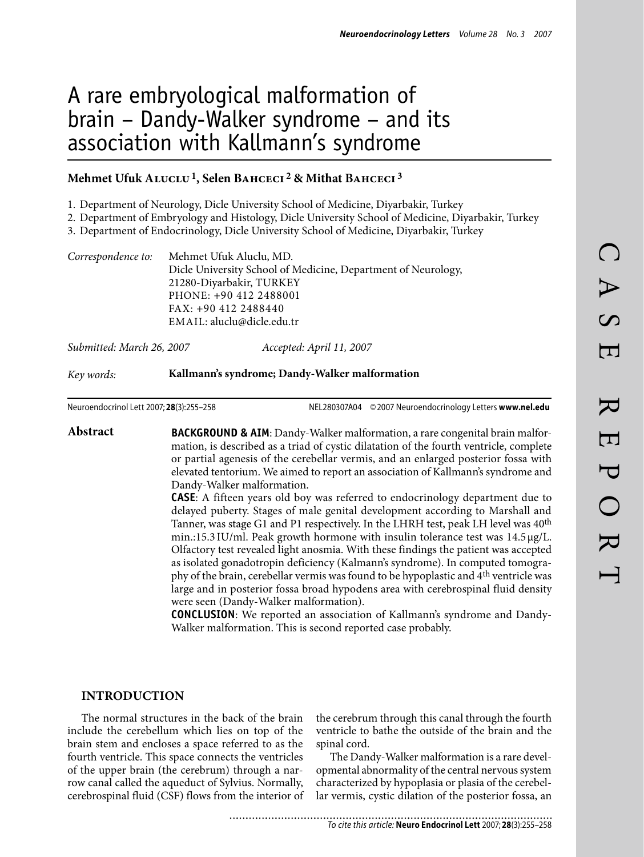# A rare embryological malformation of brain – Dandy-Walker syndrome – and its association with Kallmann's syndrome

## **Mehmet Ufuk Aluclu1, Selen Bahceci 2 & Mithat Bahceci 3**

1. Department of Neurology, Dicle University School of Medicine, Diyarbakir, Turkey

2. Department of Embryology and Histology, Dicle University School of Medicine, Diyarbakir, Turkey

Department of Endocrinology, Dicle University School of Medicine, Diyarbakir, Turkey 3.

| Correspondence to: | Mehmet Ufuk Aluclu, MD.                                       |
|--------------------|---------------------------------------------------------------|
|                    | Dicle University School of Medicine, Department of Neurology, |
|                    | 21280-Diyarbakir, TURKEY                                      |
|                    | PHONE: +90 412 2488001                                        |
|                    | FAX: +90 412 2488440                                          |
|                    | EMAIL: aluclu@dicle.edu.tr                                    |
|                    |                                                               |

*Submitted: March 26, 2007 Accepted: April 11, 2007*

#### *Key words:* **Kallmann's syndrome; Dandy-Walker malformation**

Neuroendocrinol Lett 2007; **28**(3):255–258 NEL280307A04 ©2007 Neuroendocrinology Letters **www.nel.edu**

**Abstract BACKGROUND & AIM**: Dandy-Walker malformation, a rare congenital brain malformation, is described as a triad of cystic dilatation of the fourth ventricle, complete or partial agenesis of the cerebellar vermis, and an enlarged posterior fossa with elevated tentorium. We aimed to report an association of Kallmann's syndrome and Dandy-Walker malformation.

**CASE**: A fifteen years old boy was referred to endocrinology department due to delayed puberty. Stages of male genital development according to Marshall and Tanner, was stage G1 and P1 respectively. In the LHRH test, peak LH level was 40<sup>th</sup> min.:15.3 $IU/ml$ . Peak growth hormone with insulin tolerance test was  $14.5 \mu g/L$ . Olfactory test revealed light anosmia. With these findings the patient was accepted as isolated gonadotropin deficiency (Kalmann's syndrome). In computed tomography of the brain, cerebellar vermis was found to be hypoplastic and 4th ventricle was large and in posterior fossa broad hypodens area with cerebrospinal fluid density were seen (Dandy-Walker malformation).

**CONCLUSION**: We reported an association of Kallmann's syndrome and Dandy-Walker malformation. This is second reported case probably.

## **INTRODUCTION**

The normal structures in the back of the brain include the cerebellum which lies on top of the brain stem and encloses a space referred to as the fourth ventricle. This space connects the ventricles of the upper brain (the cerebrum) through a narrow canal called the aqueduct of Sylvius. Normally, cerebrospinal fluid (CSF) flows from the interior of the cerebrum through this canal through the fourth ventricle to bathe the outside of the brain and the spinal cord.

The Dandy-Walker malformation is a rare developmental abnormality of the central nervous system characterized by hypoplasia or plasia of the cerebellar vermis, cystic dilation of the posterior fossa, an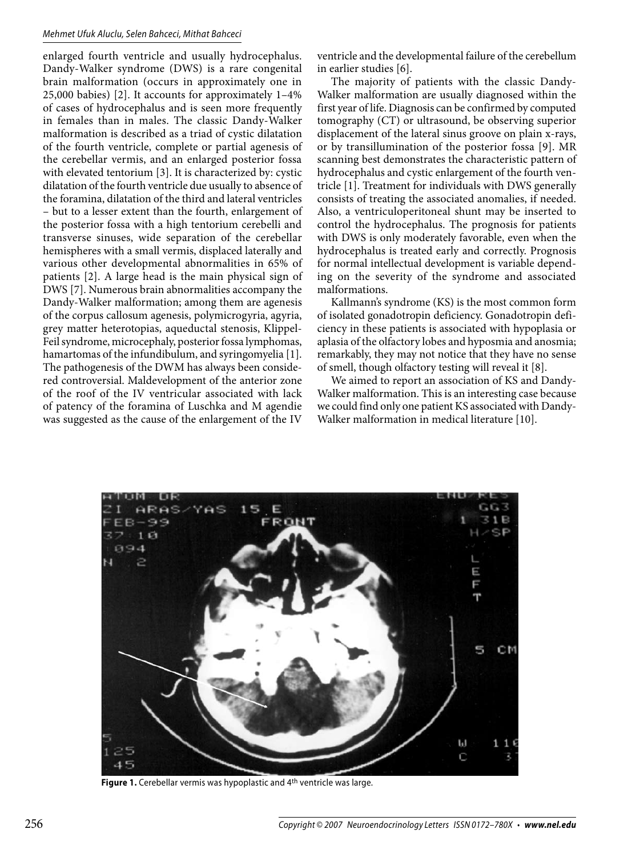#### *Mehmet Ufuk Aluclu, Selen Bahceci, Mithat Bahceci*

enlarged fourth ventricle and usually hydrocephalus. Dandy-Walker syndrome (DWS) is a rare congenital brain malformation (occurs in approximately one in 25,000 babies) [2]. It accounts for approximately 1–4% of cases of hydrocephalus and is seen more frequently in females than in males. The classic Dandy-Walker malformation is described as a triad of cystic dilatation of the fourth ventricle, complete or partial agenesis of the cerebellar vermis, and an enlarged posterior fossa with elevated tentorium [3]. It is characterized by: cystic dilatation of the fourth ventricle due usually to absence of the foramina, dilatation of the third and lateral ventricles – but to a lesser extent than the fourth, enlargement of the posterior fossa with a high tentorium cerebelli and transverse sinuses, wide separation of the cerebellar hemispheres with a small vermis, displaced laterally and various other developmental abnormalities in 65% of patients [2]. A large head is the main physical sign of DWS [7]. Numerous brain abnormalities accompany the Dandy-Walker malformation; among them are agenesis of the corpus callosum agenesis, polymicrogyria, agyria, grey matter heterotopias, aqueductal stenosis, Klippel-Feil syndrome, microcephaly, posterior fossa lymphomas, hamartomas of the infundibulum, and syringomyelia [1]. The pathogenesis of the DWM has always been considered controversial. Maldevelopment of the anterior zone of the roof of the IV ventricular associated with lack of patency of the foramina of Luschka and M agendie was suggested as the cause of the enlargement of the IV

ventricle and the developmental failure of the cerebellum in earlier studies [6].

The majority of patients with the classic Dandy-Walker malformation are usually diagnosed within the first year of life. Diagnosis can be confirmed by computed tomography (CT) or ultrasound, be observing superior displacement of the lateral sinus groove on plain x-rays, or by transillumination of the posterior fossa [9]. MR scanning best demonstrates the characteristic pattern of hydrocephalus and cystic enlargement of the fourth ventricle [1]. Treatment for individuals with DWS generally consists of treating the associated anomalies, if needed. Also, a ventriculoperitoneal shunt may be inserted to control the hydrocephalus. The prognosis for patients with DWS is only moderately favorable, even when the hydrocephalus is treated early and correctly. Prognosis for normal intellectual development is variable depending on the severity of the syndrome and associated malformations.

Kallmann's syndrome (KS) is the most common form of isolated gonadotropin deficiency. Gonadotropin deficiency in these patients is associated with hypoplasia or aplasia of the olfactory lobes and hyposmia and anosmia; remarkably, they may not notice that they have no sense of smell, though olfactory testing will reveal it [8].

We aimed to report an association of KS and Dandy-Walker malformation. This is an interesting case because we could find only one patient KS associated with Dandy-Walker malformation in medical literature [10].



**Figure 1.** Cerebellar vermis was hypoplastic and 4th ventricle was large.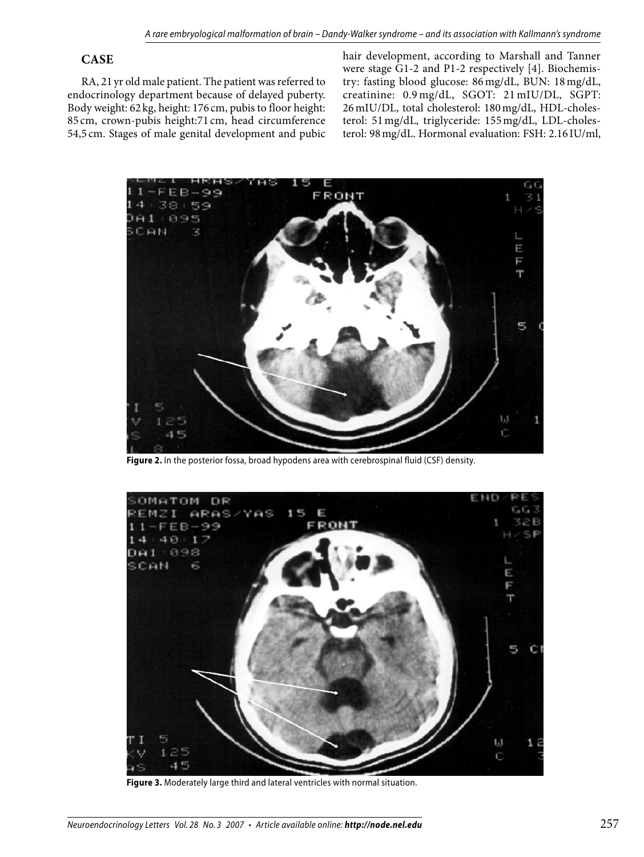# **CASE**

RA, 21 yr old male patient. The patient was referred to endocrinology department because of delayed puberty. Body weight: 62 kg, height: 176 cm, pubis to floor height: 85 cm, crown-pubis height:71 cm, head circumference 54,5 cm. Stages of male genital development and pubic

hair development, according to Marshall and Tanner were stage G1-2 and P1-2 respectively [4]. Biochemistry: fasting blood glucose: 86 mg/dL, BUN: 18mg/dL, creatinine: 0.9 mg/dL, SGOT: 21 mIU/DL, SGPT: 26mIU/DL, total cholesterol: 180mg/dL, HDL-cholesterol: 51mg/dL, triglyceride: 155mg/dL, LDL-cholesterol: 98mg/dL. Hormonal evaluation: FSH: 2.16 IU/ml,



**Figure 2.** In the posterior fossa, broad hypodens area with cerebrospinal fluid (CSF) density.



**Figure 3.** Moderately large third and lateral ventricles with normal situation.